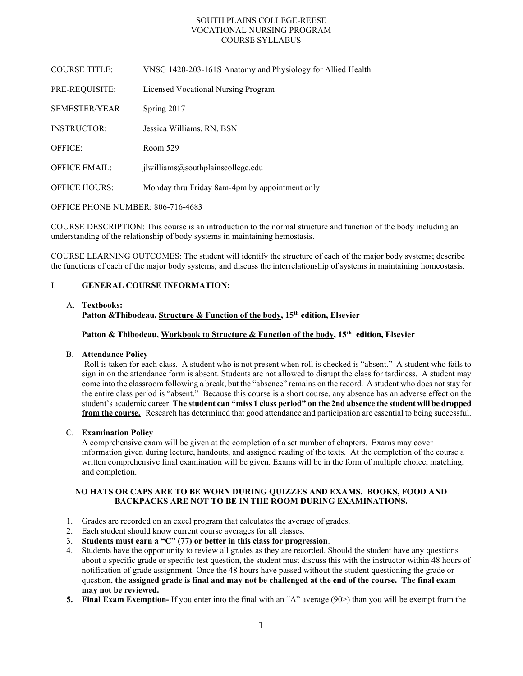# SOUTH PLAINS COLLEGE-REESE VOCATIONAL NURSING PROGRAM COURSE SYLLABUS

| <b>COURSE TITLE:</b> | VNSG 1420-203-161S Anatomy and Physiology for Allied Health |
|----------------------|-------------------------------------------------------------|
| PRE-REQUISITE:       | Licensed Vocational Nursing Program                         |
| <b>SEMESTER/YEAR</b> | Spring 2017                                                 |
| <b>INSTRUCTOR:</b>   | Jessica Williams, RN, BSN                                   |
| OFFICE:              | Room 529                                                    |
| <b>OFFICE EMAIL:</b> | ilwilliams@southplain scollege.edu                          |
| <b>OFFICE HOURS:</b> | Monday thru Friday 8am-4pm by appointment only              |
|                      |                                                             |

### OFFICE PHONE NUMBER: 806-716-4683

COURSE DESCRIPTION: This course is an introduction to the normal structure and function of the body including an understanding of the relationship of body systems in maintaining hemostasis.

COURSE LEARNING OUTCOMES: The student will identify the structure of each of the major body systems; describe the functions of each of the major body systems; and discuss the interrelationship of systems in maintaining homeostasis.

# I. GENERAL COURSE INFORMATION:

### A. Textbooks:

Patton & Thibodeau, Structure & Function of the body,  $15<sup>th</sup>$  edition, Elsevier

Patton & Thibodeau, Workbook to Structure & Function of the body,  $15<sup>th</sup>$  edition, Elsevier

### B. Attendance Policy

Roll is taken for each class. A student who is not present when roll is checked is "absent." A student who fails to sign in on the attendance form is absent. Students are not allowed to disrupt the class for tardiness. A student may come into the classroom following a break, but the "absence" remains on the record. A student who does not stay for the entire class period is "absent." Because this course is a short course, any absence has an adverse effect on the student's academic career. The student can "miss 1 class period" on the 2nd absence the student will be dropped from the course. Research has determined that good attendance and participation are essential to being successful.

### C. Examination Policy

A comprehensive exam will be given at the completion of a set number of chapters. Exams may cover information given during lecture, handouts, and assigned reading of the texts. At the completion of the course a written comprehensive final examination will be given. Exams will be in the form of multiple choice, matching, and completion.

# NO HATS OR CAPS ARE TO BE WORN DURING QUIZZES AND EXAMS. BOOKS, FOOD AND BACKPACKS ARE NOT TO BE IN THE ROOM DURING EXAMINATIONS.

- 1. Grades are recorded on an excel program that calculates the average of grades.
- 2. Each student should know current course averages for all classes.
- 3. Students must earn a "C" (77) or better in this class for progression.
- 4. Students have the opportunity to review all grades as they are recorded. Should the student have any questions about a specific grade or specific test question, the student must discuss this with the instructor within 48 hours of notification of grade assignment. Once the 48 hours have passed without the student questioning the grade or question, the assigned grade is final and may not be challenged at the end of the course. The final exam may not be reviewed.
- 5. Final Exam Exemption- If you enter into the final with an "A" average (90>) than you will be exempt from the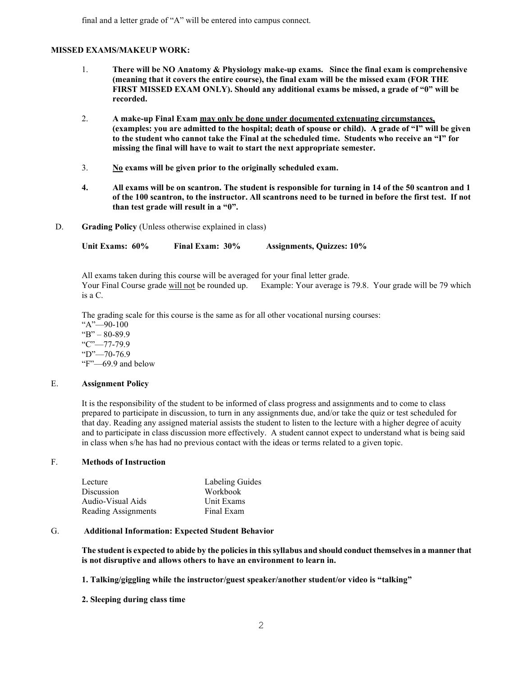### MISSED EXAMS/MAKEUP WORK:

- 1. There will be NO Anatomy & Physiology make-up exams. Since the final exam is comprehensive (meaning that it covers the entire course), the final exam will be the missed exam (FOR THE FIRST MISSED EXAM ONLY). Should any additional exams be missed, a grade of "0" will be recorded.
- 2. A make-up Final Exam may only be done under documented extenuating circumstances, (examples: you are admitted to the hospital; death of spouse or child). A grade of "I" will be given to the student who cannot take the Final at the scheduled time. Students who receive an "I" for missing the final will have to wait to start the next appropriate semester.
- $3.$  No exams will be given prior to the originally scheduled exam.
- 4. All exams will be on scantron. The student is responsible for turning in 14 of the 50 scantron and 1 of the 100 scantron, to the instructor. All scantrons need to be turned in before the first test. If not than test grade will result in a "0".
- D. Grading Policy (Unless otherwise explained in class)

Unit Exams: 60% Final Exam: 30% Assignments, Quizzes: 10%

All exams taken during this course will be averaged for your final letter grade. Your Final Course grade will not be rounded up. Example: Your average is 79.8. Your grade will be 79 which is a C.

The grading scale for this course is the same as for all other vocational nursing courses:

 "A"—90-100 "B" – 80-89.9 "C"—77-79.9  $"D"$ —70-76.9 "F"—69.9 and below

### E. Assignment Policy

It is the responsibility of the student to be informed of class progress and assignments and to come to class prepared to participate in discussion, to turn in any assignments due, and/or take the quiz or test scheduled for that day. Reading any assigned material assists the student to listen to the lecture with a higher degree of acuity and to participate in class discussion more effectively. A student cannot expect to understand what is being said in class when s/he has had no previous contact with the ideas or terms related to a given topic.

### F. Methods of Instruction

| Labeling Guides |
|-----------------|
| Workbook        |
| Unit Exams      |
| Final Exam      |
|                 |

### G. Additional Information: Expected Student Behavior

The student is expected to abide by the policies in this syllabus and should conduct themselves in a manner that is not disruptive and allows others to have an environment to learn in.

1. Talking/giggling while the instructor/guest speaker/another student/or video is "talking"

2. Sleeping during class time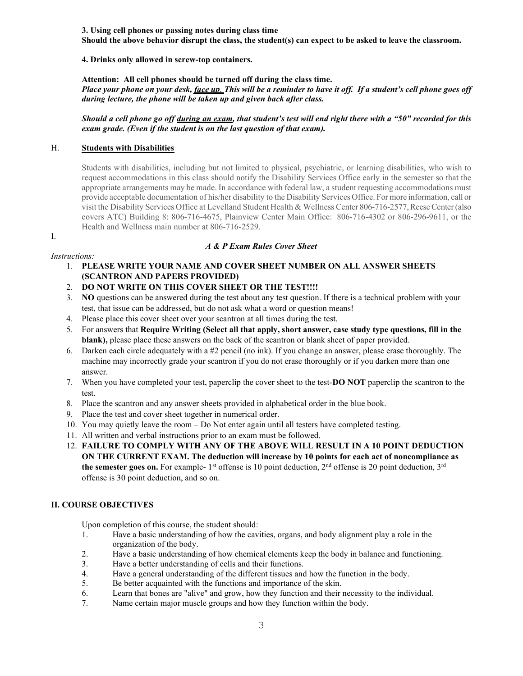3. Using cell phones or passing notes during class time Should the above behavior disrupt the class, the student(s) can expect to be asked to leave the classroom.

# 4. Drinks only allowed in screw-top containers.

Attention: All cell phones should be turned off during the class time.

Place your phone on your desk, *face up. This will be a reminder to have it off.* If a student's cell phone goes off during lecture, the phone will be taken up and given back after class.

Should a cell phone go off during an exam, that student's test will end right there with a "50" recorded for this exam grade. (Even if the student is on the last question of that exam).

# H. Students with Disabilities

Students with disabilities, including but not limited to physical, psychiatric, or learning disabilities, who wish to request accommodations in this class should notify the Disability Services Office early in the semester so that the appropriate arrangements may be made. In accordance with federal law, a student requesting accommodations must provide acceptable documentation of his/her disability to the Disability Services Office. For more information, call or visit the Disability Services Office at Levelland Student Health & Wellness Center 806-716-2577, Reese Center (also covers ATC) Building 8: 806-716-4675, Plainview Center Main Office: 806-716-4302 or 806-296-9611, or the Health and Wellness main number at 806-716-2529.

#### I.

# A & P Exam Rules Cover Sheet

### Instructions:

- 1. PLEASE WRITE YOUR NAME AND COVER SHEET NUMBER ON ALL ANSWER SHEETS (SCANTRON AND PAPERS PROVIDED)
- 2. DO NOT WRITE ON THIS COVER SHEET OR THE TEST!!!!
- 3. NO questions can be answered during the test about any test question. If there is a technical problem with your test, that issue can be addressed, but do not ask what a word or question means!
- 4. Please place this cover sheet over your scantron at all times during the test.
- 5. For answers that Require Writing (Select all that apply, short answer, case study type questions, fill in the blank), please place these answers on the back of the scantron or blank sheet of paper provided.
- 6. Darken each circle adequately with a #2 pencil (no ink). If you change an answer, please erase thoroughly. The machine may incorrectly grade your scantron if you do not erase thoroughly or if you darken more than one answer.
- 7. When you have completed your test, paperclip the cover sheet to the test-**DO NOT** paperclip the scantron to the test.
- 8. Place the scantron and any answer sheets provided in alphabetical order in the blue book.
- 9. Place the test and cover sheet together in numerical order.
- 10. You may quietly leave the room Do Not enter again until all testers have completed testing.
- 11. All written and verbal instructions prior to an exam must be followed.
- 12. FAILURE TO COMPLY WITH ANY OF THE ABOVE WILL RESULT IN A 10 POINT DEDUCTION ON THE CURRENT EXAM. The deduction will increase by 10 points for each act of noncompliance as the semester goes on. For example- 1<sup>st</sup> offense is 10 point deduction,  $2<sup>nd</sup>$  offense is 20 point deduction,  $3<sup>rd</sup>$ offense is 30 point deduction, and so on.

# II. COURSE OBJECTIVES

Upon completion of this course, the student should:

- 1. Have a basic understanding of how the cavities, organs, and body alignment play a role in the organization of the body.
- 2. Have a basic understanding of how chemical elements keep the body in balance and functioning.
- 3. Have a better understanding of cells and their functions.
- 4. Have a general understanding of the different tissues and how the function in the body.
- 5. Be better acquainted with the functions and importance of the skin.
- 6. Learn that bones are "alive" and grow, how they function and their necessity to the individual.
- 7. Name certain major muscle groups and how they function within the body.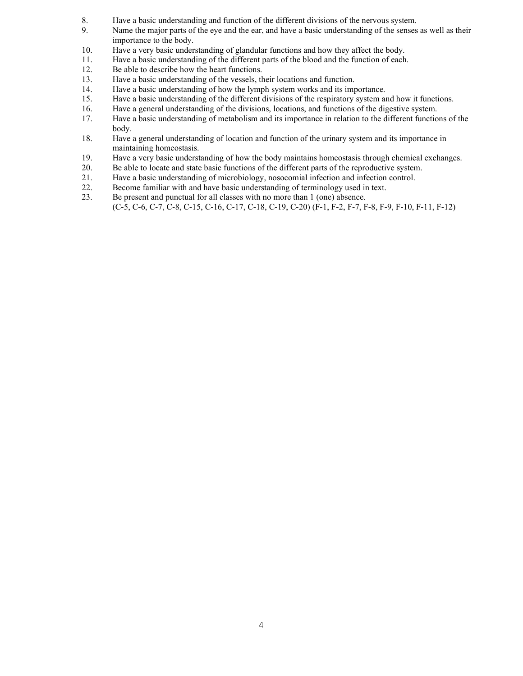- 8. Have a basic understanding and function of the different divisions of the nervous system.
- 9. Name the major parts of the eye and the ear, and have a basic understanding of the senses as well as their importance to the body.
- 10. Have a very basic understanding of glandular functions and how they affect the body.
- 11. Have a basic understanding of the different parts of the blood and the function of each.
- 12. Be able to describe how the heart functions.
- 13. Have a basic understanding of the vessels, their locations and function.
- 14. Have a basic understanding of how the lymph system works and its importance.
- 15. Have a basic understanding of the different divisions of the respiratory system and how it functions.
- 16. Have a general understanding of the divisions, locations, and functions of the digestive system.
- 17. Have a basic understanding of metabolism and its importance in relation to the different functions of the body.
- 18. Have a general understanding of location and function of the urinary system and its importance in maintaining homeostasis.
- 19. Have a very basic understanding of how the body maintains homeostasis through chemical exchanges.
- 20. Be able to locate and state basic functions of the different parts of the reproductive system.
- 21. Have a basic understanding of microbiology, nosocomial infection and infection control.
- 22. Become familiar with and have basic understanding of terminology used in text.
- 23. Be present and punctual for all classes with no more than 1 (one) absence. (C-5, C-6, C-7, C-8, C-15, C-16, C-17, C-18, C-19, C-20) (F-1, F-2, F-7, F-8, F-9, F-10, F-11, F-12)